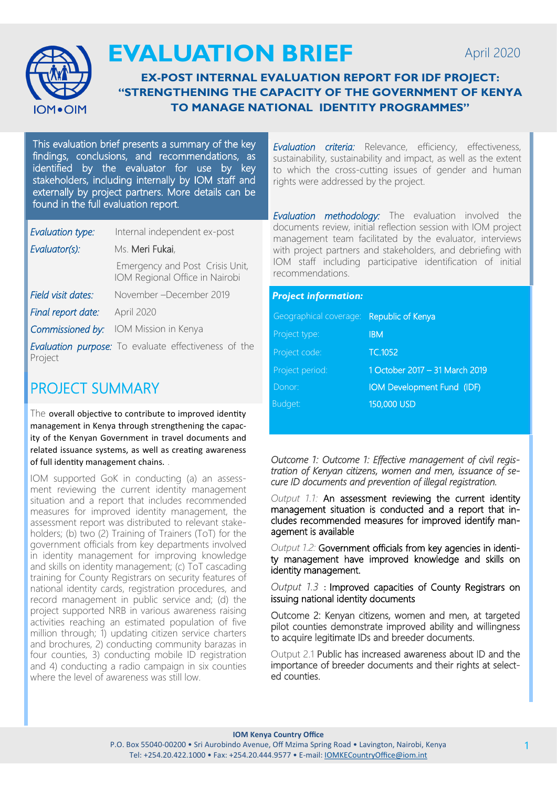

# **EVALUATION BRIEF**

#### **EX-POST INTERNAL EVALUATION REPORT FOR IDF PROJECT: "STRENGTHENING THE CAPACITY OF THE GOVERNMENT OF KENYA TO MANAGE NATIONAL IDENTITY PROGRAMMES"**

This evaluation brief presents a summary of the key findings, conclusions, and recommendations, as identified by the evaluator for use by key stakeholders, including internally by IOM staff and externally by project partners. More details can be found in the full evaluation report.

| Evaluation type:   | Internal independent ex-post                                      |
|--------------------|-------------------------------------------------------------------|
| Evaluator(s):      | Ms. Meri Fukai,                                                   |
|                    | Emergency and Post Crisis Unit,<br>IOM Regional Office in Nairobi |
| Field visit dates: | November – December 2019                                          |
| Final report date: | April 2020                                                        |
| Commissioned by:   | IOM Mission in Kenya                                              |
| Project            | <b>Evaluation purpose:</b> To evaluate effectiveness of the       |

## PROJECT SUMMARY

The overall objective to contribute to improved identity management in Kenya through strengthening the capacity of the Kenyan Government in travel documents and related issuance systems, as well as creating awareness of full identity management chains. .

IOM supported GoK in conducting (a) an assessment reviewing the current identity management situation and a report that includes recommended measures for improved identity management, the assessment report was distributed to relevant stakeholders; (b) two (2) Training of Trainers (ToT) for the government officials from key departments involved in identity management for improving knowledge and skills on identity management; (c) ToT cascading training for County Registrars on security features of national identity cards, registration procedures, and record management in public service and; (d) the project supported NRB in various awareness raising activities reaching an estimated population of five million through; 1) updating citizen service charters and brochures, 2) conducting community barazas in four counties, 3) conducting mobile ID registration and 4) conducting a radio campaign in six counties where the level of awareness was still low.

*Evaluation criteria:* Relevance, efficiency, effectiveness, sustainability, sustainability and impact, as well as the extent to which the cross-cutting issues of gender and human rights were addressed by the project.

*Evaluation methodology:* The evaluation involved the documents review, initial reflection session with IOM project management team facilitated by the evaluator, interviews with project partners and stakeholders, and debriefing with IOM staff including participative identification of initial recommendations.

| <b>Project information:</b> |                                |  |
|-----------------------------|--------------------------------|--|
| Geographical coverage:      | Republic of Kenya              |  |
| Project type:               | <b>IBM</b>                     |  |
| Project code:               | TC.1052                        |  |
| Project period:             | 1 October 2017 - 31 March 2019 |  |
| Donor:                      | IOM Development Fund (IDF)     |  |
| Budget:                     | 150,000 USD                    |  |

*Outcome 1: Outcome 1: Effective management of civil registration of Kenyan citizens, women and men, issuance of secure ID documents and prevention of illegal registration.* 

*Output 1.1:* An assessment reviewing the current identity management situation is conducted and a report that includes recommended measures for improved identify management is available

*Output 1.2:* Government officials from key agencies in identity management have improved knowledge and skills on identity management.

*Output 1.3* : Improved capacities of County Registrars on issuing national identity documents

Outcome 2: Kenyan citizens, women and men, at targeted pilot counties demonstrate improved ability and willingness to acquire legitimate IDs and breeder documents.

Output 2.1 Public has increased awareness about ID and the importance of breeder documents and their rights at selected counties.